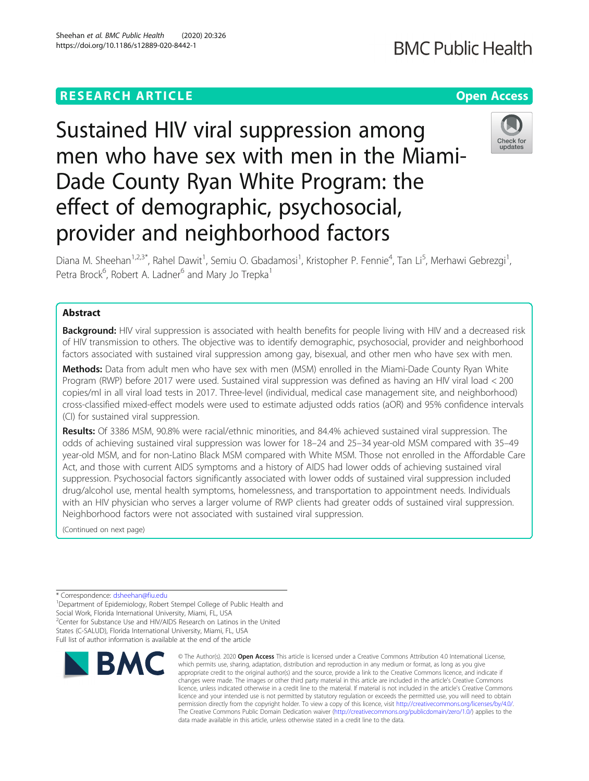# **RESEARCH ARTICLE Example 2014 12:30 The Contract of Contract ACCESS**

# Sustained HIV viral suppression among men who have sex with men in the Miami-Dade County Ryan White Program: the effect of demographic, psychosocial, provider and neighborhood factors

Diana M. Sheehan<sup>1,2,3\*</sup>, Rahel Dawit<sup>1</sup>, Semiu O. Gbadamosi<sup>1</sup>, Kristopher P. Fennie<sup>4</sup>, Tan Li<sup>5</sup>, Merhawi Gebrezgi<sup>1</sup> , Petra Brock<sup>6</sup>, Robert A. Ladner<sup>6</sup> and Mary Jo Trepka<sup>1</sup>

## Abstract

Background: HIV viral suppression is associated with health benefits for people living with HIV and a decreased risk of HIV transmission to others. The objective was to identify demographic, psychosocial, provider and neighborhood factors associated with sustained viral suppression among gay, bisexual, and other men who have sex with men.

**Methods:** Data from adult men who have sex with men (MSM) enrolled in the Miami-Dade County Ryan White Program (RWP) before 2017 were used. Sustained viral suppression was defined as having an HIV viral load < 200 copies/ml in all viral load tests in 2017. Three-level (individual, medical case management site, and neighborhood) cross-classified mixed-effect models were used to estimate adjusted odds ratios (aOR) and 95% confidence intervals (CI) for sustained viral suppression.

Results: Of 3386 MSM, 90.8% were racial/ethnic minorities, and 84.4% achieved sustained viral suppression. The odds of achieving sustained viral suppression was lower for 18–24 and 25–34 year-old MSM compared with 35–49 year-old MSM, and for non-Latino Black MSM compared with White MSM. Those not enrolled in the Affordable Care Act, and those with current AIDS symptoms and a history of AIDS had lower odds of achieving sustained viral suppression. Psychosocial factors significantly associated with lower odds of sustained viral suppression included drug/alcohol use, mental health symptoms, homelessness, and transportation to appointment needs. Individuals with an HIV physician who serves a larger volume of RWP clients had greater odds of sustained viral suppression. Neighborhood factors were not associated with sustained viral suppression.

(Continued on next page)

\* Correspondence: [dsheehan@fiu.edu](mailto:dsheehan@fiu.edu) <sup>1</sup>

<sup>1</sup>Department of Epidemiology, Robert Stempel College of Public Health and Social Work, Florida International University, Miami, FL, USA <sup>2</sup> Center for Substance Use and HIV/AIDS Research on Latinos in the United States (C-SALUD), Florida International University, Miami, FL, USA Full list of author information is available at the end of the article



© The Author(s), 2020 **Open Access** This article is licensed under a Creative Commons Attribution 4.0 International License, which permits use, sharing, adaptation, distribution and reproduction in any medium or format, as long as you give appropriate credit to the original author(s) and the source, provide a link to the Creative Commons licence, and indicate if changes were made. The images or other third party material in this article are included in the article's Creative Commons licence, unless indicated otherwise in a credit line to the material. If material is not included in the article's Creative Commons licence and your intended use is not permitted by statutory regulation or exceeds the permitted use, you will need to obtain permission directly from the copyright holder. To view a copy of this licence, visit [http://creativecommons.org/licenses/by/4.0/.](http://creativecommons.org/licenses/by/4.0/) The Creative Commons Public Domain Dedication waiver [\(http://creativecommons.org/publicdomain/zero/1.0/](http://creativecommons.org/publicdomain/zero/1.0/)) applies to the data made available in this article, unless otherwise stated in a credit line to the data.



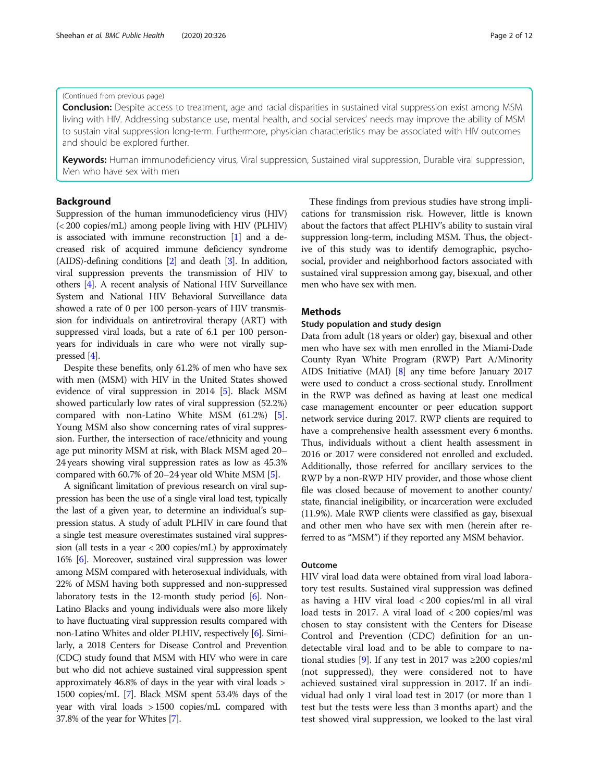#### (Continued from previous page)

Conclusion: Despite access to treatment, age and racial disparities in sustained viral suppression exist among MSM living with HIV. Addressing substance use, mental health, and social services' needs may improve the ability of MSM to sustain viral suppression long-term. Furthermore, physician characteristics may be associated with HIV outcomes and should be explored further.

Keywords: Human immunodeficiency virus, Viral suppression, Sustained viral suppression, Durable viral suppression, Men who have sex with men

#### Background

Suppression of the human immunodeficiency virus (HIV) (< 200 copies/mL) among people living with HIV (PLHIV) is associated with immune reconstruction [[1](#page-10-0)] and a decreased risk of acquired immune deficiency syndrome (AIDS)-defining conditions [\[2\]](#page-10-0) and death [\[3\]](#page-10-0). In addition, viral suppression prevents the transmission of HIV to others [\[4\]](#page-10-0). A recent analysis of National HIV Surveillance System and National HIV Behavioral Surveillance data showed a rate of 0 per 100 person-years of HIV transmission for individuals on antiretroviral therapy (ART) with suppressed viral loads, but a rate of 6.1 per 100 personyears for individuals in care who were not virally suppressed [\[4](#page-10-0)].

Despite these benefits, only 61.2% of men who have sex with men (MSM) with HIV in the United States showed evidence of viral suppression in 2014 [\[5](#page-10-0)]. Black MSM showed particularly low rates of viral suppression (52.2%) compared with non-Latino White MSM (61.2%) [[5](#page-10-0)]. Young MSM also show concerning rates of viral suppression. Further, the intersection of race/ethnicity and young age put minority MSM at risk, with Black MSM aged 20– 24 years showing viral suppression rates as low as 45.3% compared with 60.7% of 20–24 year old White MSM [\[5](#page-10-0)].

A significant limitation of previous research on viral suppression has been the use of a single viral load test, typically the last of a given year, to determine an individual's suppression status. A study of adult PLHIV in care found that a single test measure overestimates sustained viral suppression (all tests in a year < 200 copies/mL) by approximately 16% [\[6\]](#page-10-0). Moreover, sustained viral suppression was lower among MSM compared with heterosexual individuals, with 22% of MSM having both suppressed and non-suppressed laboratory tests in the 12-month study period [\[6\]](#page-10-0). Non-Latino Blacks and young individuals were also more likely to have fluctuating viral suppression results compared with non-Latino Whites and older PLHIV, respectively [\[6\]](#page-10-0). Similarly, a 2018 Centers for Disease Control and Prevention (CDC) study found that MSM with HIV who were in care but who did not achieve sustained viral suppression spent approximately 46.8% of days in the year with viral loads > 1500 copies/mL [[7](#page-10-0)]. Black MSM spent 53.4% days of the year with viral loads > 1500 copies/mL compared with 37.8% of the year for Whites [\[7](#page-10-0)].

These findings from previous studies have strong implications for transmission risk. However, little is known about the factors that affect PLHIV's ability to sustain viral suppression long-term, including MSM. Thus, the objective of this study was to identify demographic, psychosocial, provider and neighborhood factors associated with sustained viral suppression among gay, bisexual, and other men who have sex with men.

#### **Methods**

#### Study population and study design

Data from adult (18 years or older) gay, bisexual and other men who have sex with men enrolled in the Miami-Dade County Ryan White Program (RWP) Part A/Minority AIDS Initiative (MAI) [\[8\]](#page-10-0) any time before January 2017 were used to conduct a cross-sectional study. Enrollment in the RWP was defined as having at least one medical case management encounter or peer education support network service during 2017. RWP clients are required to have a comprehensive health assessment every 6 months. Thus, individuals without a client health assessment in 2016 or 2017 were considered not enrolled and excluded. Additionally, those referred for ancillary services to the RWP by a non-RWP HIV provider, and those whose client file was closed because of movement to another county/ state, financial ineligibility, or incarceration were excluded (11.9%). Male RWP clients were classified as gay, bisexual and other men who have sex with men (herein after referred to as "MSM") if they reported any MSM behavior.

#### Outcome

HIV viral load data were obtained from viral load laboratory test results. Sustained viral suppression was defined as having a HIV viral load < 200 copies/ml in all viral load tests in 2017. A viral load of < 200 copies/ml was chosen to stay consistent with the Centers for Disease Control and Prevention (CDC) definition for an undetectable viral load and to be able to compare to na-tional studies [[9\]](#page-10-0). If any test in 2017 was  $\geq$ 200 copies/ml (not suppressed), they were considered not to have achieved sustained viral suppression in 2017. If an individual had only 1 viral load test in 2017 (or more than 1 test but the tests were less than 3 months apart) and the test showed viral suppression, we looked to the last viral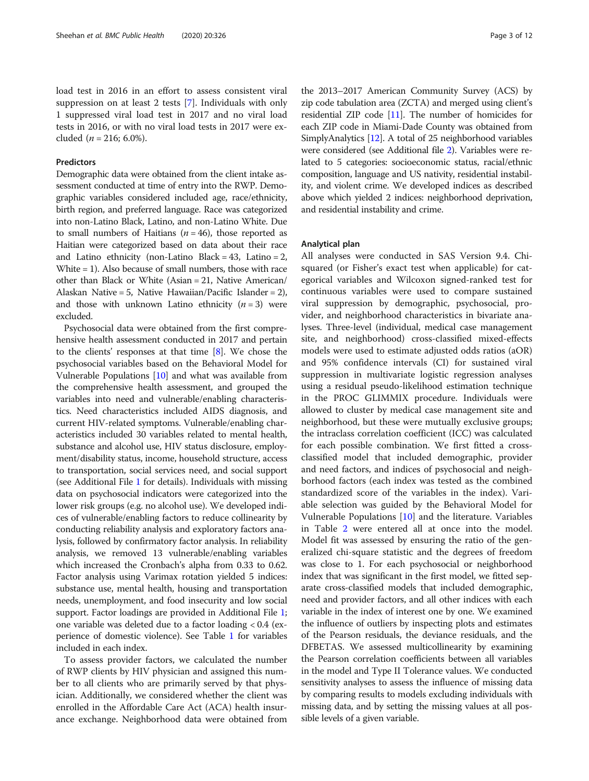#### Predictors

Demographic data were obtained from the client intake assessment conducted at time of entry into the RWP. Demographic variables considered included age, race/ethnicity, birth region, and preferred language. Race was categorized into non-Latino Black, Latino, and non-Latino White. Due to small numbers of Haitians  $(n = 46)$ , those reported as Haitian were categorized based on data about their race and Latino ethnicity (non-Latino Black =  $43$ , Latino = 2, White = 1). Also because of small numbers, those with race other than Black or White (Asian = 21, Native American/ Alaskan Native = 5, Native Hawaiian/Pacific Islander = 2), and those with unknown Latino ethnicity  $(n = 3)$  were excluded.

Psychosocial data were obtained from the first comprehensive health assessment conducted in 2017 and pertain to the clients' responses at that time [\[8\]](#page-10-0). We chose the psychosocial variables based on the Behavioral Model for Vulnerable Populations [[10](#page-10-0)] and what was available from the comprehensive health assessment, and grouped the variables into need and vulnerable/enabling characteristics. Need characteristics included AIDS diagnosis, and current HIV-related symptoms. Vulnerable/enabling characteristics included 30 variables related to mental health, substance and alcohol use, HIV status disclosure, employment/disability status, income, household structure, access to transportation, social services need, and social support (see Additional File [1](#page-9-0) for details). Individuals with missing data on psychosocial indicators were categorized into the lower risk groups (e.g. no alcohol use). We developed indices of vulnerable/enabling factors to reduce collinearity by conducting reliability analysis and exploratory factors analysis, followed by confirmatory factor analysis. In reliability analysis, we removed 13 vulnerable/enabling variables which increased the Cronbach's alpha from 0.33 to 0.62. Factor analysis using Varimax rotation yielded 5 indices: substance use, mental health, housing and transportation needs, unemployment, and food insecurity and low social support. Factor loadings are provided in Additional File [1](#page-9-0); one variable was deleted due to a factor loading < 0.4 (experience of domestic violence). See Table [1](#page-3-0) for variables included in each index.

To assess provider factors, we calculated the number of RWP clients by HIV physician and assigned this number to all clients who are primarily served by that physician. Additionally, we considered whether the client was enrolled in the Affordable Care Act (ACA) health insurance exchange. Neighborhood data were obtained from the 2013–2017 American Community Survey (ACS) by zip code tabulation area (ZCTA) and merged using client's residential ZIP code [\[11\]](#page-10-0). The number of homicides for each ZIP code in Miami-Dade County was obtained from SimplyAnalytics [\[12](#page-10-0)]. A total of 25 neighborhood variables were considered (see Additional file [2\)](#page-9-0). Variables were related to 5 categories: socioeconomic status, racial/ethnic composition, language and US nativity, residential instability, and violent crime. We developed indices as described above which yielded 2 indices: neighborhood deprivation, and residential instability and crime.

#### Analytical plan

All analyses were conducted in SAS Version 9.4. Chisquared (or Fisher's exact test when applicable) for categorical variables and Wilcoxon signed-ranked test for continuous variables were used to compare sustained viral suppression by demographic, psychosocial, provider, and neighborhood characteristics in bivariate analyses. Three-level (individual, medical case management site, and neighborhood) cross-classified mixed-effects models were used to estimate adjusted odds ratios (aOR) and 95% confidence intervals (CI) for sustained viral suppression in multivariate logistic regression analyses using a residual pseudo-likelihood estimation technique in the PROC GLIMMIX procedure. Individuals were allowed to cluster by medical case management site and neighborhood, but these were mutually exclusive groups; the intraclass correlation coefficient (ICC) was calculated for each possible combination. We first fitted a crossclassified model that included demographic, provider and need factors, and indices of psychosocial and neighborhood factors (each index was tested as the combined standardized score of the variables in the index). Variable selection was guided by the Behavioral Model for Vulnerable Populations [\[10](#page-10-0)] and the literature. Variables in Table [2](#page-6-0) were entered all at once into the model. Model fit was assessed by ensuring the ratio of the generalized chi-square statistic and the degrees of freedom was close to 1. For each psychosocial or neighborhood index that was significant in the first model, we fitted separate cross-classified models that included demographic, need and provider factors, and all other indices with each variable in the index of interest one by one. We examined the influence of outliers by inspecting plots and estimates of the Pearson residuals, the deviance residuals, and the DFBETAS. We assessed multicollinearity by examining the Pearson correlation coefficients between all variables in the model and Type II Tolerance values. We conducted sensitivity analyses to assess the influence of missing data by comparing results to models excluding individuals with missing data, and by setting the missing values at all possible levels of a given variable.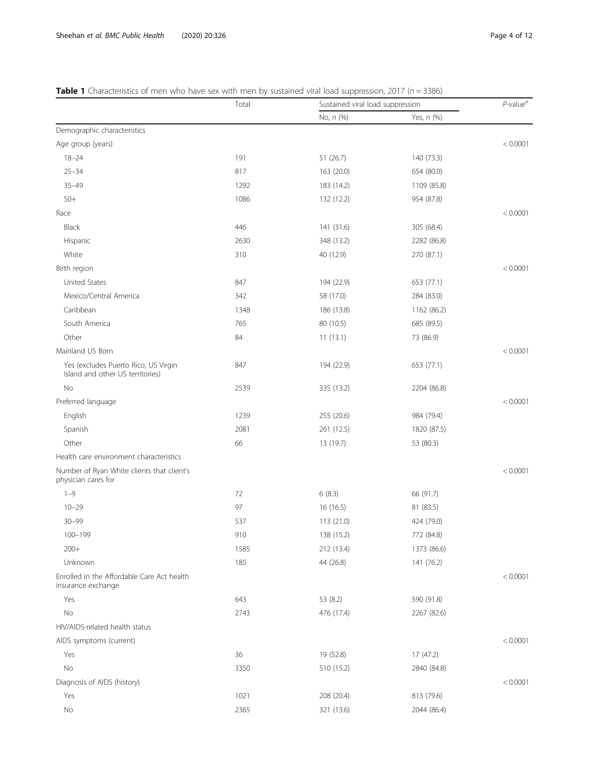# <span id="page-3-0"></span>**Table 1** Characteristics of men who have sex with men by sustained viral load suppression, 2017 ( $n = 3386$ )

|                                                                          | Total | Sustained viral load suppression |             | $P$ -value <sup>a</sup> |
|--------------------------------------------------------------------------|-------|----------------------------------|-------------|-------------------------|
|                                                                          |       | No, n (%)                        | Yes, n (%)  |                         |
| Demographic characteristics                                              |       |                                  |             |                         |
| Age group (years)                                                        |       |                                  |             | < 0.0001                |
| $18 - 24$                                                                | 191   | 51 (26.7)                        | 140 (73.3)  |                         |
| $25 - 34$                                                                | 817   | 163 (20.0)                       | 654 (80.0)  |                         |
| $35 - 49$                                                                | 1292  | 183 (14.2)                       | 1109 (85.8) |                         |
| $50+$                                                                    | 1086  | 132 (12.2)                       | 954 (87.8)  |                         |
| Race                                                                     |       |                                  |             | < 0.0001                |
| <b>Black</b>                                                             | 446   | 141 (31.6)                       | 305 (68.4)  |                         |
| Hispanic                                                                 | 2630  | 348 (13.2)                       | 2282 (86.8) |                         |
| White                                                                    | 310   | 40 (12.9)                        | 270 (87.1)  |                         |
| Birth region                                                             |       |                                  |             | < 0.0001                |
| United States                                                            | 847   | 194 (22.9)                       | 653 (77.1)  |                         |
| Mexico/Central America                                                   | 342   | 58 (17.0)                        | 284 (83.0)  |                         |
| Caribbean                                                                | 1348  | 186 (13.8)                       | 1162 (86.2) |                         |
| South America                                                            | 765   | 80 (10.5)                        | 685 (89.5)  |                         |
| Other                                                                    | 84    | 11(13.1)                         | 73 (86.9)   |                         |
| Mainland US Born                                                         |       |                                  |             | < 0.0001                |
| Yes (excludes Puerto Rico, US Virgin<br>Island and other US territories) | 847   | 194 (22.9)                       | 653 (77.1)  |                         |
| No                                                                       | 2539  | 335 (13.2)                       | 2204 (86.8) |                         |
| Preferred language                                                       |       |                                  |             | < 0.0001                |
| English                                                                  | 1239  | 255 (20.6)                       | 984 (79.4)  |                         |
| Spanish                                                                  | 2081  | 261 (12.5)                       | 1820 (87.5) |                         |
| Other                                                                    | 66    | 13 (19.7)                        | 53 (80.3)   |                         |
| Health care environment characteristics                                  |       |                                  |             |                         |
| Number of Ryan White clients that client's<br>physician cares for        |       |                                  |             | < 0.0001                |
| $1 - 9$                                                                  | 72    | 6(8.3)                           | 66 (91.7)   |                         |
| $10 - 29$                                                                | 97    | 16 (16.5)                        | 81 (83.5)   |                         |
| $30 - 99$                                                                | 537   | 113 (21.0)                       | 424 (79.0)  |                         |
| 100-199                                                                  | 910   | 138 (15.2)                       | 772 (84.8)  |                         |
| $200+$                                                                   | 1585  | 212 (13.4)                       | 1373 (86.6) |                         |
| Unknown                                                                  | 185   | 44 (26.8)                        | 141 (76.2)  |                         |
| Enrolled in the Affordable Care Act health<br>insurance exchange         |       |                                  |             | < 0.0001                |
| Yes                                                                      | 643   | 53 (8.2)                         | 590 (91.8)  |                         |
| No                                                                       | 2743  | 476 (17.4)                       | 2267 (82.6) |                         |
| HIV/AIDS-related health status                                           |       |                                  |             |                         |
| AIDS symptoms (current)                                                  |       |                                  |             | < 0.0001                |
| Yes                                                                      | 36    | 19 (52.8)                        | 17 (47.2)   |                         |
| No                                                                       | 3350  | 510 (15.2)                       | 2840 (84.8) |                         |
| Diagnosis of AIDS (history)                                              |       |                                  |             | < 0.0001                |
| Yes                                                                      | 1021  | 208 (20.4)                       | 813 (79.6)  |                         |
| No                                                                       | 2365  | 321 (13.6)                       | 2044 (86.4) |                         |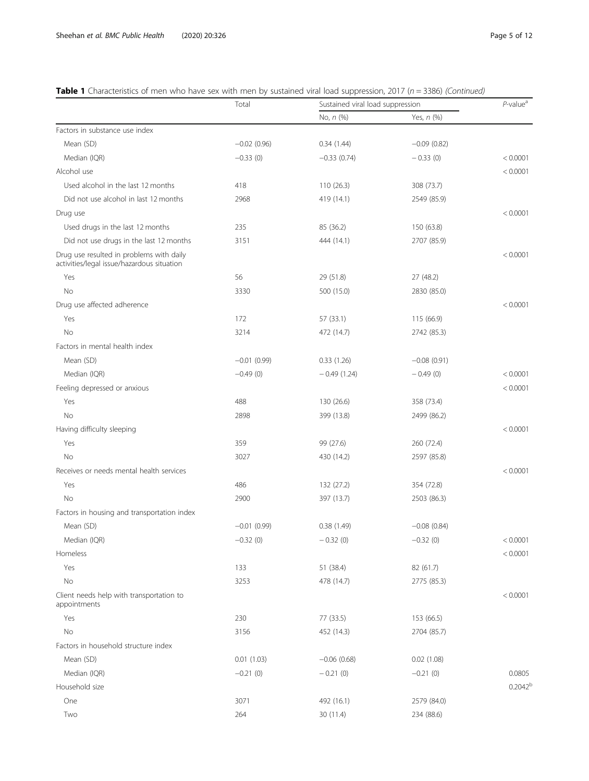# **Table 1** Characteristics of men who have sex with men by sustained viral load suppression, 2017 ( $n = 3386$ ) (Continued)

|                                                                                        | Total         | Sustained viral load suppression |               | $P$ -value <sup><math>a</math></sup> |
|----------------------------------------------------------------------------------------|---------------|----------------------------------|---------------|--------------------------------------|
|                                                                                        |               | No, n (%)                        | Yes, n (%)    |                                      |
| Factors in substance use index                                                         |               |                                  |               |                                      |
| Mean (SD)                                                                              | $-0.02(0.96)$ | 0.34(1.44)                       | $-0.09(0.82)$ |                                      |
| Median (IQR)                                                                           | $-0.33(0)$    | $-0.33(0.74)$                    | $-0.33(0)$    | < 0.0001                             |
| Alcohol use                                                                            |               |                                  |               | < 0.0001                             |
| Used alcohol in the last 12 months                                                     | 418           | 110(26.3)                        | 308 (73.7)    |                                      |
| Did not use alcohol in last 12 months                                                  | 2968          | 419 (14.1)                       | 2549 (85.9)   |                                      |
| Drug use                                                                               |               |                                  |               | < 0.0001                             |
| Used drugs in the last 12 months                                                       | 235           | 85 (36.2)                        | 150 (63.8)    |                                      |
| Did not use drugs in the last 12 months                                                | 3151          | 444 (14.1)                       | 2707 (85.9)   |                                      |
| Drug use resulted in problems with daily<br>activities/legal issue/hazardous situation |               |                                  |               | < 0.0001                             |
| Yes                                                                                    | 56            | 29 (51.8)                        | 27 (48.2)     |                                      |
| No                                                                                     | 3330          | 500 (15.0)                       | 2830 (85.0)   |                                      |
| Drug use affected adherence                                                            |               |                                  |               | < 0.0001                             |
| Yes                                                                                    | 172           | 57 (33.1)                        | 115 (66.9)    |                                      |
| No                                                                                     | 3214          | 472 (14.7)                       | 2742 (85.3)   |                                      |
| Factors in mental health index                                                         |               |                                  |               |                                      |
| Mean (SD)                                                                              | $-0.01(0.99)$ | 0.33(1.26)                       | $-0.08(0.91)$ |                                      |
| Median (IQR)                                                                           | $-0.49(0)$    | $-0.49(1.24)$                    | $-0.49(0)$    | < 0.0001                             |
| Feeling depressed or anxious                                                           |               |                                  |               | < 0.0001                             |
| Yes                                                                                    | 488           | 130 (26.6)                       | 358 (73.4)    |                                      |
| No                                                                                     | 2898          | 399 (13.8)                       | 2499 (86.2)   |                                      |
| Having difficulty sleeping                                                             |               |                                  |               | < 0.0001                             |
| Yes                                                                                    | 359           | 99 (27.6)                        | 260 (72.4)    |                                      |
| No                                                                                     | 3027          | 430 (14.2)                       | 2597 (85.8)   |                                      |
| Receives or needs mental health services                                               |               |                                  |               | < 0.0001                             |
| Yes                                                                                    | 486           | 132 (27.2)                       | 354 (72.8)    |                                      |
| No                                                                                     | 2900          | 397 (13.7)                       | 2503 (86.3)   |                                      |
| Factors in housing and transportation index                                            |               |                                  |               |                                      |
| Mean (SD)                                                                              | $-0.01(0.99)$ | 0.38(1.49)                       | $-0.08(0.84)$ |                                      |
| Median (IQR)                                                                           | $-0.32(0)$    | $-0.32(0)$                       | $-0.32(0)$    | < 0.0001                             |
| Homeless                                                                               |               |                                  |               | < 0.0001                             |
| Yes                                                                                    | 133           | 51 (38.4)                        | 82 (61.7)     |                                      |
| No                                                                                     | 3253          | 478 (14.7)                       | 2775 (85.3)   |                                      |
| Client needs help with transportation to<br>appointments                               |               |                                  |               | < 0.0001                             |
| Yes                                                                                    | 230           | 77 (33.5)                        | 153 (66.5)    |                                      |
| No                                                                                     | 3156          | 452 (14.3)                       | 2704 (85.7)   |                                      |
| Factors in household structure index                                                   |               |                                  |               |                                      |
| Mean (SD)                                                                              | 0.01(1.03)    | $-0.06(0.68)$                    | 0.02(1.08)    |                                      |
| Median (IQR)                                                                           | $-0.21(0)$    | $-0.21(0)$                       | $-0.21(0)$    | 0.0805                               |
| Household size                                                                         |               |                                  |               | $0.2042^{b}$                         |
| One                                                                                    | 3071          | 492 (16.1)                       | 2579 (84.0)   |                                      |
| Two                                                                                    | 264           | 30 (11.4)                        | 234 (88.6)    |                                      |
|                                                                                        |               |                                  |               |                                      |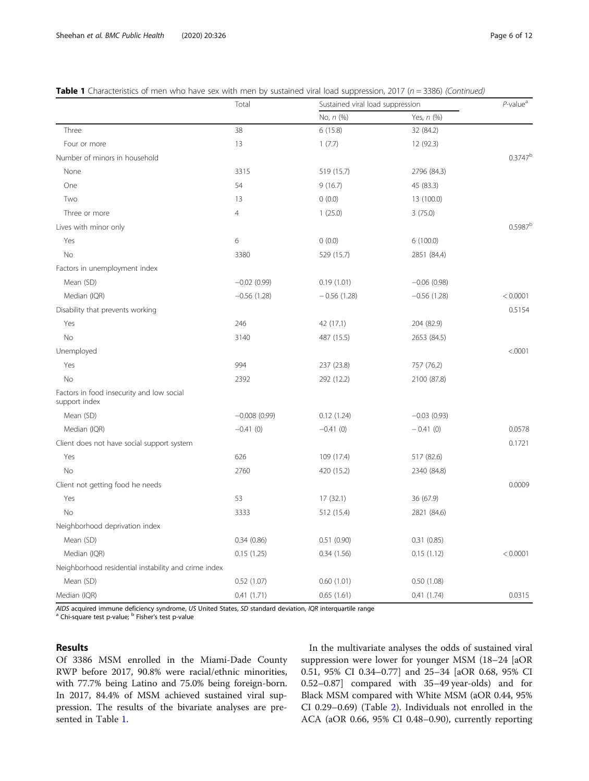|                                                            | Total          | Sustained viral load suppression |               | $P$ -value <sup>a</sup> |
|------------------------------------------------------------|----------------|----------------------------------|---------------|-------------------------|
|                                                            |                | No, n (%)                        | Yes, n (%)    |                         |
| Three                                                      | 38             | 6(15.8)                          | 32 (84.2)     |                         |
| Four or more                                               | 13             | 1(7.7)                           | 12 (92.3)     |                         |
| Number of minors in household                              |                |                                  |               | $0.3747^b$              |
| None                                                       | 3315           | 519 (15.7)                       | 2796 (84.3)   |                         |
| One                                                        | 54             | 9(16.7)                          | 45 (83.3)     |                         |
| Two                                                        | 13             | 0(0.0)                           | 13 (100.0)    |                         |
| Three or more                                              | 4              | 1(25.0)                          | 3(75.0)       |                         |
| Lives with minor only                                      |                |                                  |               | $0.5987^b$              |
| Yes                                                        | 6              | 0(0.0)                           | 6(100.0)      |                         |
| No                                                         | 3380           | 529 (15.7)                       | 2851 (84.4)   |                         |
| Factors in unemployment index                              |                |                                  |               |                         |
| Mean (SD)                                                  | $-0.02(0.99)$  | 0.19(1.01)                       | $-0.06(0.98)$ |                         |
| Median (IQR)                                               | $-0.56(1.28)$  | $-0.56(1.28)$                    | $-0.56(1.28)$ | < 0.0001                |
| Disability that prevents working                           |                |                                  |               | 0.5154                  |
| Yes                                                        | 246            | 42 (17.1)                        | 204 (82.9)    |                         |
| <b>No</b>                                                  | 3140           | 487 (15.5)                       | 2653 (84.5)   |                         |
| Unemployed                                                 |                |                                  |               | < .0001                 |
| Yes                                                        | 994            | 237 (23.8)                       | 757 (76.2)    |                         |
| <b>No</b>                                                  | 2392           | 292 (12.2)                       | 2100 (87.8)   |                         |
| Factors in food insecurity and low social<br>support index |                |                                  |               |                         |
| Mean (SD)                                                  | $-0.008(0.99)$ | 0.12(1.24)                       | $-0.03(0.93)$ |                         |
| Median (IQR)                                               | $-0.41(0)$     | $-0.41(0)$                       | $-0.41(0)$    | 0.0578                  |
| Client does not have social support system                 |                |                                  |               | 0.1721                  |
| Yes                                                        | 626            | 109 (17.4)                       | 517 (82.6)    |                         |
| No                                                         | 2760           | 420 (15.2)                       | 2340 (84.8)   |                         |
| Client not getting food he needs                           |                |                                  |               | 0.0009                  |
| Yes                                                        | 53             | 17(32.1)                         | 36 (67.9)     |                         |
| <b>No</b>                                                  | 3333           | 512 (15.4)                       | 2821 (84.6)   |                         |
| Neighborhood deprivation index                             |                |                                  |               |                         |
| Mean (SD)                                                  | 0.34(0.86)     | 0.51(0.90)                       | 0.31(0.85)    |                         |
| Median (IQR)                                               | 0.15(1.25)     | 0.34(1.56)                       | 0.15(1.12)    | < 0.0001                |
| Neighborhood residential instability and crime index       |                |                                  |               |                         |
| Mean (SD)                                                  | 0.52(1.07)     | 0.60(1.01)                       | 0.50(1.08)    |                         |
| Median (IQR)                                               | 0.41(1.71)     | 0.65(1.61)                       | 0.41(1.74)    | 0.0315                  |

AIDS acquired immune deficiency syndrome, US United States, SD standard deviation, IQR interquartile range a Chi-square test p-value; <sup>b</sup> Fisher's test p-value

#### Results

Of 3386 MSM enrolled in the Miami-Dade County RWP before 2017, 90.8% were racial/ethnic minorities, with 77.7% being Latino and 75.0% being foreign-born. In 2017, 84.4% of MSM achieved sustained viral suppression. The results of the bivariate analyses are presented in Table [1.](#page-3-0)

In the multivariate analyses the odds of sustained viral suppression were lower for younger MSM (18–24 [aOR 0.51, 95% CI 0.34–0.77] and 25–34 [aOR 0.68, 95% CI 0.52–0.87] compared with 35–49 year-olds) and for Black MSM compared with White MSM (aOR 0.44, 95% CI 0.29–0.69) (Table [2\)](#page-6-0). Individuals not enrolled in the ACA (aOR 0.66, 95% CI 0.48–0.90), currently reporting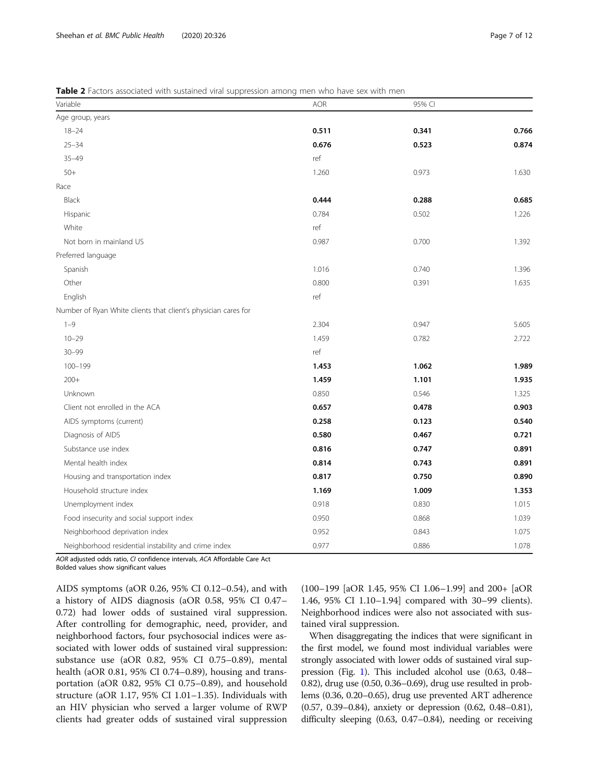#### <span id="page-6-0"></span>**Table 2** Factors associated with sustained viral suppression among men who have sex with men

| Variable                                                       | AOR   | 95% CI |       |
|----------------------------------------------------------------|-------|--------|-------|
| Age group, years                                               |       |        |       |
| $18 - 24$                                                      | 0.511 | 0.341  | 0.766 |
| $25 - 34$                                                      | 0.676 | 0.523  | 0.874 |
| $35 - 49$                                                      | ref   |        |       |
| $50+$                                                          | 1.260 | 0.973  | 1.630 |
| Race                                                           |       |        |       |
| Black                                                          | 0.444 | 0.288  | 0.685 |
| Hispanic                                                       | 0.784 | 0.502  | 1.226 |
| White                                                          | ref   |        |       |
| Not born in mainland US                                        | 0.987 | 0.700  | 1.392 |
| Preferred language                                             |       |        |       |
| Spanish                                                        | 1.016 | 0.740  | 1.396 |
| Other                                                          | 0.800 | 0.391  | 1.635 |
| English                                                        | ref   |        |       |
| Number of Ryan White clients that client's physician cares for |       |        |       |
| $1 - 9$                                                        | 2.304 | 0.947  | 5.605 |
| $10 - 29$                                                      | 1.459 | 0.782  | 2.722 |
| $30 - 99$                                                      | ref   |        |       |
| $100 - 199$                                                    | 1.453 | 1.062  | 1.989 |
| $200+$                                                         | 1.459 | 1.101  | 1.935 |
| Unknown                                                        | 0.850 | 0.546  | 1.325 |
| Client not enrolled in the ACA                                 | 0.657 | 0.478  | 0.903 |
| AIDS symptoms (current)                                        | 0.258 | 0.123  | 0.540 |
| Diagnosis of AIDS                                              | 0.580 | 0.467  | 0.721 |
| Substance use index                                            | 0.816 | 0.747  | 0.891 |
| Mental health index                                            | 0.814 | 0.743  | 0.891 |
| Housing and transportation index                               | 0.817 | 0.750  | 0.890 |
| Household structure index                                      | 1.169 | 1.009  | 1.353 |
| Unemployment index                                             | 0.918 | 0.830  | 1.015 |
| Food insecurity and social support index                       | 0.950 | 0.868  | 1.039 |
| Neighborhood deprivation index                                 | 0.952 | 0.843  | 1.075 |
| Neighborhood residential instability and crime index           | 0.977 | 0.886  | 1.078 |

AOR adjusted odds ratio, CI confidence intervals, ACA Affordable Care Act

Bolded values show significant values

AIDS symptoms (aOR 0.26, 95% CI 0.12–0.54), and with a history of AIDS diagnosis (aOR 0.58, 95% CI 0.47– 0.72) had lower odds of sustained viral suppression. After controlling for demographic, need, provider, and neighborhood factors, four psychosocial indices were associated with lower odds of sustained viral suppression: substance use (aOR 0.82, 95% CI 0.75–0.89), mental health (aOR 0.81, 95% CI 0.74–0.89), housing and transportation (aOR 0.82, 95% CI 0.75–0.89), and household structure (aOR 1.17, 95% CI 1.01–1.35). Individuals with an HIV physician who served a larger volume of RWP clients had greater odds of sustained viral suppression

(100–199 [aOR 1.45, 95% CI 1.06–1.99] and 200+ [aOR 1.46, 95% CI 1.10–1.94] compared with 30–99 clients). Neighborhood indices were also not associated with sustained viral suppression.

When disaggregating the indices that were significant in the first model, we found most individual variables were strongly associated with lower odds of sustained viral suppression (Fig. [1\)](#page-7-0). This included alcohol use (0.63, 0.48– 0.82), drug use (0.50, 0.36–0.69), drug use resulted in problems (0.36, 0.20–0.65), drug use prevented ART adherence (0.57, 0.39–0.84), anxiety or depression (0.62, 0.48–0.81), difficulty sleeping (0.63, 0.47–0.84), needing or receiving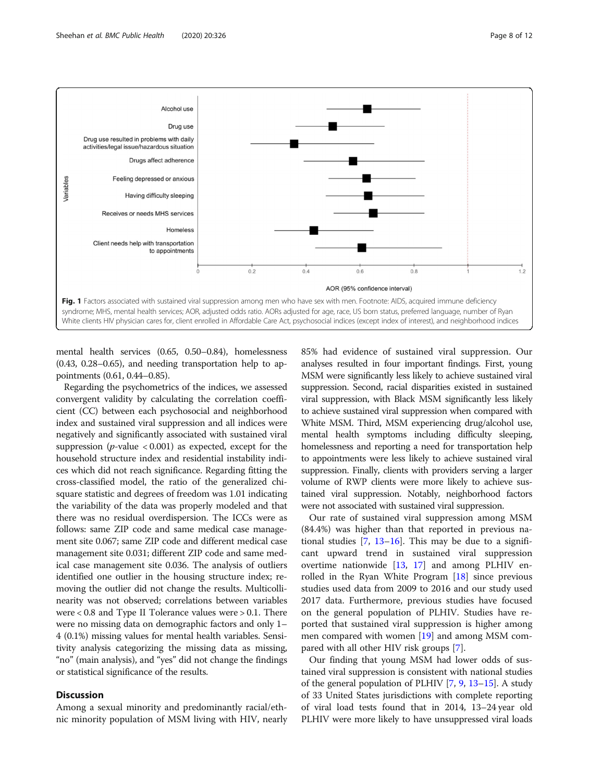

<span id="page-7-0"></span>

mental health services (0.65, 0.50–0.84), homelessness (0.43, 0.28–0.65), and needing transportation help to appointments (0.61, 0.44–0.85).

Regarding the psychometrics of the indices, we assessed convergent validity by calculating the correlation coefficient (CC) between each psychosocial and neighborhood index and sustained viral suppression and all indices were negatively and significantly associated with sustained viral suppression ( $p$ -value < 0.001) as expected, except for the household structure index and residential instability indices which did not reach significance. Regarding fitting the cross-classified model, the ratio of the generalized chisquare statistic and degrees of freedom was 1.01 indicating the variability of the data was properly modeled and that there was no residual overdispersion. The ICCs were as follows: same ZIP code and same medical case management site 0.067; same ZIP code and different medical case management site 0.031; different ZIP code and same medical case management site 0.036. The analysis of outliers identified one outlier in the housing structure index; removing the outlier did not change the results. Multicollinearity was not observed; correlations between variables were < 0.8 and Type II Tolerance values were > 0.1. There were no missing data on demographic factors and only 1– 4 (0.1%) missing values for mental health variables. Sensitivity analysis categorizing the missing data as missing, "no" (main analysis), and "yes" did not change the findings or statistical significance of the results.

#### **Discussion**

Among a sexual minority and predominantly racial/ethnic minority population of MSM living with HIV, nearly 85% had evidence of sustained viral suppression. Our analyses resulted in four important findings. First, young MSM were significantly less likely to achieve sustained viral suppression. Second, racial disparities existed in sustained viral suppression, with Black MSM significantly less likely to achieve sustained viral suppression when compared with White MSM. Third, MSM experiencing drug/alcohol use, mental health symptoms including difficulty sleeping, homelessness and reporting a need for transportation help to appointments were less likely to achieve sustained viral suppression. Finally, clients with providers serving a larger volume of RWP clients were more likely to achieve sustained viral suppression. Notably, neighborhood factors were not associated with sustained viral suppression.

Our rate of sustained viral suppression among MSM (84.4%) was higher than that reported in previous national studies  $[7, 13-16]$  $[7, 13-16]$  $[7, 13-16]$  $[7, 13-16]$  $[7, 13-16]$  $[7, 13-16]$  $[7, 13-16]$ . This may be due to a significant upward trend in sustained viral suppression overtime nationwide [\[13](#page-10-0), [17\]](#page-10-0) and among PLHIV enrolled in the Ryan White Program  $[18]$  since previous studies used data from 2009 to 2016 and our study used 2017 data. Furthermore, previous studies have focused on the general population of PLHIV. Studies have reported that sustained viral suppression is higher among men compared with women [\[19](#page-10-0)] and among MSM compared with all other HIV risk groups [[7\]](#page-10-0).

Our finding that young MSM had lower odds of sustained viral suppression is consistent with national studies of the general population of PLHIV [\[7](#page-10-0), [9,](#page-10-0) [13](#page-10-0)–[15](#page-10-0)]. A study of 33 United States jurisdictions with complete reporting of viral load tests found that in 2014, 13–24 year old PLHIV were more likely to have unsuppressed viral loads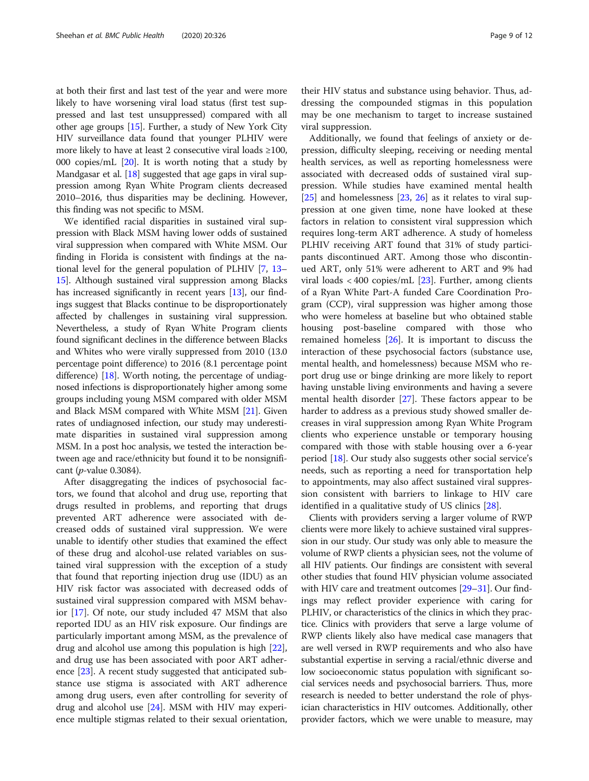at both their first and last test of the year and were more likely to have worsening viral load status (first test suppressed and last test unsuppressed) compared with all other age groups [[15](#page-10-0)]. Further, a study of New York City HIV surveillance data found that younger PLHIV were more likely to have at least 2 consecutive viral loads ≥100, 000 copies/mL [[20](#page-10-0)]. It is worth noting that a study by Mandgasar et al. [\[18\]](#page-10-0) suggested that age gaps in viral suppression among Ryan White Program clients decreased 2010–2016, thus disparities may be declining. However, this finding was not specific to MSM.

We identified racial disparities in sustained viral suppression with Black MSM having lower odds of sustained viral suppression when compared with White MSM. Our finding in Florida is consistent with findings at the national level for the general population of PLHIV [\[7,](#page-10-0) [13](#page-10-0)– [15](#page-10-0)]. Although sustained viral suppression among Blacks has increased significantly in recent years [[13](#page-10-0)], our findings suggest that Blacks continue to be disproportionately affected by challenges in sustaining viral suppression. Nevertheless, a study of Ryan White Program clients found significant declines in the difference between Blacks and Whites who were virally suppressed from 2010 (13.0 percentage point difference) to 2016 (8.1 percentage point difference) [[18](#page-10-0)]. Worth noting, the percentage of undiagnosed infections is disproportionately higher among some groups including young MSM compared with older MSM and Black MSM compared with White MSM [[21](#page-10-0)]. Given rates of undiagnosed infection, our study may underestimate disparities in sustained viral suppression among MSM. In a post hoc analysis, we tested the interaction between age and race/ethnicity but found it to be nonsignificant (p-value 0.3084).

After disaggregating the indices of psychosocial factors, we found that alcohol and drug use, reporting that drugs resulted in problems, and reporting that drugs prevented ART adherence were associated with decreased odds of sustained viral suppression. We were unable to identify other studies that examined the effect of these drug and alcohol-use related variables on sustained viral suppression with the exception of a study that found that reporting injection drug use (IDU) as an HIV risk factor was associated with decreased odds of sustained viral suppression compared with MSM behavior [[17\]](#page-10-0). Of note, our study included 47 MSM that also reported IDU as an HIV risk exposure. Our findings are particularly important among MSM, as the prevalence of drug and alcohol use among this population is high [\[22](#page-10-0)], and drug use has been associated with poor ART adherence [[23](#page-10-0)]. A recent study suggested that anticipated substance use stigma is associated with ART adherence among drug users, even after controlling for severity of drug and alcohol use [\[24\]](#page-10-0). MSM with HIV may experience multiple stigmas related to their sexual orientation,

their HIV status and substance using behavior. Thus, addressing the compounded stigmas in this population may be one mechanism to target to increase sustained viral suppression.

Additionally, we found that feelings of anxiety or depression, difficulty sleeping, receiving or needing mental health services, as well as reporting homelessness were associated with decreased odds of sustained viral suppression. While studies have examined mental health  $[25]$  $[25]$  and homelessness  $[23, 26]$  $[23, 26]$  $[23, 26]$  $[23, 26]$  as it relates to viral suppression at one given time, none have looked at these factors in relation to consistent viral suppression which requires long-term ART adherence. A study of homeless PLHIV receiving ART found that 31% of study participants discontinued ART. Among those who discontinued ART, only 51% were adherent to ART and 9% had viral loads < 400 copies/mL [[23\]](#page-10-0). Further, among clients of a Ryan White Part-A funded Care Coordination Program (CCP), viral suppression was higher among those who were homeless at baseline but who obtained stable housing post-baseline compared with those who remained homeless  $[26]$  $[26]$ . It is important to discuss the interaction of these psychosocial factors (substance use, mental health, and homelessness) because MSM who report drug use or binge drinking are more likely to report having unstable living environments and having a severe mental health disorder [[27\]](#page-10-0). These factors appear to be harder to address as a previous study showed smaller decreases in viral suppression among Ryan White Program clients who experience unstable or temporary housing compared with those with stable housing over a 6-year period [[18\]](#page-10-0). Our study also suggests other social service's needs, such as reporting a need for transportation help to appointments, may also affect sustained viral suppression consistent with barriers to linkage to HIV care identified in a qualitative study of US clinics [\[28\]](#page-10-0).

Clients with providers serving a larger volume of RWP clients were more likely to achieve sustained viral suppression in our study. Our study was only able to measure the volume of RWP clients a physician sees, not the volume of all HIV patients. Our findings are consistent with several other studies that found HIV physician volume associated with HIV care and treatment outcomes [\[29](#page-10-0)–[31\]](#page-11-0). Our findings may reflect provider experience with caring for PLHIV, or characteristics of the clinics in which they practice. Clinics with providers that serve a large volume of RWP clients likely also have medical case managers that are well versed in RWP requirements and who also have substantial expertise in serving a racial/ethnic diverse and low socioeconomic status population with significant social services needs and psychosocial barriers. Thus, more research is needed to better understand the role of physician characteristics in HIV outcomes. Additionally, other provider factors, which we were unable to measure, may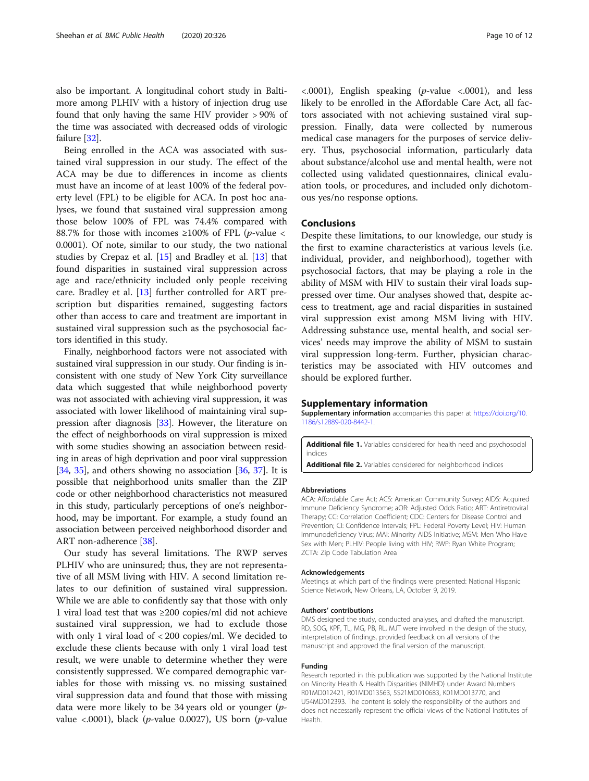<span id="page-9-0"></span>also be important. A longitudinal cohort study in Baltimore among PLHIV with a history of injection drug use found that only having the same HIV provider > 90% of the time was associated with decreased odds of virologic failure [[32](#page-11-0)].

Being enrolled in the ACA was associated with sustained viral suppression in our study. The effect of the ACA may be due to differences in income as clients must have an income of at least 100% of the federal poverty level (FPL) to be eligible for ACA. In post hoc analyses, we found that sustained viral suppression among those below 100% of FPL was 74.4% compared with 88.7% for those with incomes  $\geq 100\%$  of FPL (*p*-value < 0.0001). Of note, similar to our study, the two national studies by Crepaz et al. [\[15](#page-10-0)] and Bradley et al. [[13\]](#page-10-0) that found disparities in sustained viral suppression across age and race/ethnicity included only people receiving care. Bradley et al. [[13\]](#page-10-0) further controlled for ART prescription but disparities remained, suggesting factors other than access to care and treatment are important in sustained viral suppression such as the psychosocial factors identified in this study.

Finally, neighborhood factors were not associated with sustained viral suppression in our study. Our finding is inconsistent with one study of New York City surveillance data which suggested that while neighborhood poverty was not associated with achieving viral suppression, it was associated with lower likelihood of maintaining viral suppression after diagnosis [[33\]](#page-11-0). However, the literature on the effect of neighborhoods on viral suppression is mixed with some studies showing an association between residing in areas of high deprivation and poor viral suppression  $[34, 35]$  $[34, 35]$  $[34, 35]$  $[34, 35]$ , and others showing no association  $[36, 37]$  $[36, 37]$  $[36, 37]$ . It is possible that neighborhood units smaller than the ZIP code or other neighborhood characteristics not measured in this study, particularly perceptions of one's neighborhood, may be important. For example, a study found an association between perceived neighborhood disorder and ART non-adherence [\[38\]](#page-11-0).

Our study has several limitations. The RWP serves PLHIV who are uninsured; thus, they are not representative of all MSM living with HIV. A second limitation relates to our definition of sustained viral suppression. While we are able to confidently say that those with only 1 viral load test that was ≥200 copies/ml did not achieve sustained viral suppression, we had to exclude those with only 1 viral load of < 200 copies/ml. We decided to exclude these clients because with only 1 viral load test result, we were unable to determine whether they were consistently suppressed. We compared demographic variables for those with missing vs. no missing sustained viral suppression data and found that those with missing data were more likely to be 34 years old or younger (pvalue <.0001), black (p-value 0.0027), US born (p-value

 $\langle .0001 \rangle$ , English speaking (p-value  $\langle .0001 \rangle$ , and less likely to be enrolled in the Affordable Care Act, all factors associated with not achieving sustained viral suppression. Finally, data were collected by numerous medical case managers for the purposes of service delivery. Thus, psychosocial information, particularly data about substance/alcohol use and mental health, were not collected using validated questionnaires, clinical evaluation tools, or procedures, and included only dichotomous yes/no response options.

#### **Conclusions**

Despite these limitations, to our knowledge, our study is the first to examine characteristics at various levels (i.e. individual, provider, and neighborhood), together with psychosocial factors, that may be playing a role in the ability of MSM with HIV to sustain their viral loads suppressed over time. Our analyses showed that, despite access to treatment, age and racial disparities in sustained viral suppression exist among MSM living with HIV. Addressing substance use, mental health, and social services' needs may improve the ability of MSM to sustain viral suppression long-term. Further, physician characteristics may be associated with HIV outcomes and should be explored further.

#### Supplementary information

Supplementary information accompanies this paper at [https://doi.org/10.](https://doi.org/10.1186/s12889-020-8442-1) [1186/s12889-020-8442-1.](https://doi.org/10.1186/s12889-020-8442-1)

Additional file 1. Variables considered for health need and psychosocial indices

Additional file 2. Variables considered for neighborhood indices

#### Abbreviations

ACA: Affordable Care Act; ACS: American Community Survey; AIDS: Acquired Immune Deficiency Syndrome; aOR: Adjusted Odds Ratio; ART: Antiretroviral Therapy; CC: Correlation Coefficient; CDC: Centers for Disease Control and Prevention; CI: Confidence Intervals; FPL: Federal Poverty Level; HIV: Human Immunodeficiency Virus; MAI: Minority AIDS Initiative; MSM: Men Who Have Sex with Men; PLHIV: People living with HIV; RWP: Ryan White Program; ZCTA: Zip Code Tabulation Area

#### Acknowledgements

Meetings at which part of the findings were presented: National Hispanic Science Network, New Orleans, LA, October 9, 2019.

#### Authors' contributions

DMS designed the study, conducted analyses, and drafted the manuscript. RD, SOG, KPF, TL, MG, PB, RL, MJT were involved in the design of the study, interpretation of findings, provided feedback on all versions of the manuscript and approved the final version of the manuscript.

#### Funding

Research reported in this publication was supported by the National Institute on Minority Health & Health Disparities (NIMHD) under Award Numbers R01MD012421, R01MD013563, 5S21MD010683, K01MD013770, and U54MD012393. The content is solely the responsibility of the authors and does not necessarily represent the official views of the National Institutes of Health.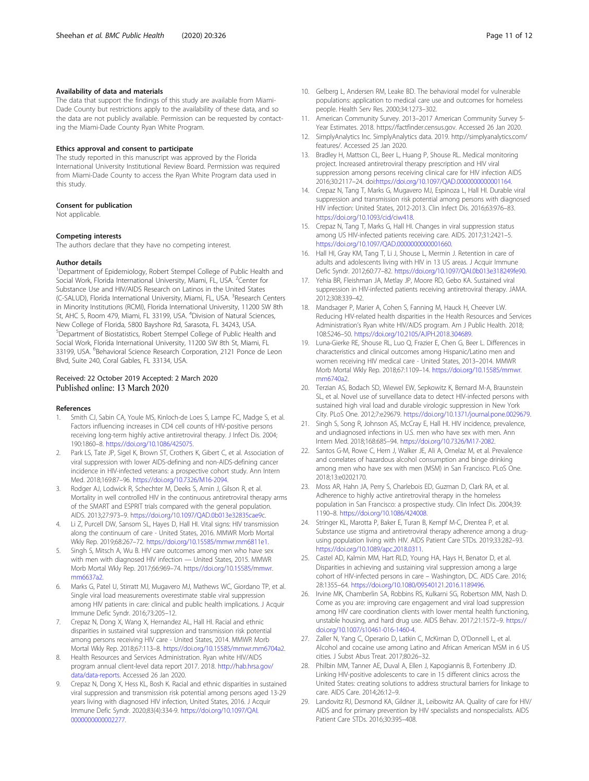#### <span id="page-10-0"></span>Availability of data and materials

The data that support the findings of this study are available from Miami-Dade County but restrictions apply to the availability of these data, and so the data are not publicly available. Permission can be requested by contacting the Miami-Dade County Ryan White Program.

#### Ethics approval and consent to participate

The study reported in this manuscript was approved by the Florida International University Institutional Review Board. Permission was required from Miami-Dade County to access the Ryan White Program data used in this study.

#### Consent for publication

Not applicable.

#### Competing interests

The authors declare that they have no competing interest.

#### Author details

<sup>1</sup>Department of Epidemiology, Robert Stempel College of Public Health and Social Work, Florida International University, Miami, FL, USA. <sup>2</sup>Center for Substance Use and HIV/AIDS Research on Latinos in the United States (C-SALUD), Florida International University, Miami, FL, USA. <sup>3</sup>Research Centers in Minority Institutions (RCMI), Florida International University, 11200 SW 8th St, AHC 5, Room 479, Miami, FL 33199, USA. <sup>4</sup>Division of Natural Sciences, New College of Florida, 5800 Bayshore Rd, Sarasota, FL 34243, USA. 5 Department of Biostatistics, Robert Stempel College of Public Health and Social Work, Florida International University, 11200 SW 8th St, Miami, FL 33199, USA. <sup>6</sup>Behavioral Science Research Corporation, 2121 Ponce de Leon Blvd, Suite 240, Coral Gables, FL 33134, USA.

#### Received: 22 October 2019 Accepted: 2 March 2020 Published online: 13 March 2020

#### References

- 1. Smith CJ, Sabin CA, Youle MS, Kinloch-de Loes S, Lampe FC, Madge S, et al. Factors influencing increases in CD4 cell counts of HIV-positive persons receiving long-term highly active antiretroviral therapy. J Infect Dis. 2004; 190:1860–8. [https://doi.org/10.1086/425075.](https://doi.org/10.1086/425075)
- Park LS, Tate JP, Sigel K, Brown ST, Crothers K, Gibert C, et al. Association of viral suppression with lower AIDS-defining and non-AIDS-defining cancer incidence in HIV-infected veterans: a prospective cohort study. Ann Intern Med. 2018;169:87–96. [https://doi.org/10.7326/M16-2094.](https://doi.org/10.7326/M16-2094)
- Rodger AJ, Lodwick R, Schechter M, Deeks S, Amin J, Gilson R, et al. Mortality in well controlled HIV in the continuous antiretroviral therapy arms of the SMART and ESPRIT trials compared with the general population. AIDS. 2013;27:973–9. <https://doi.org/10.1097/QAD.0b013e32835cae9c>.
- 4. Li Z, Purcell DW, Sansom SL, Hayes D, Hall HI. Vital signs: HIV transmission along the continuum of care - United States, 2016. MMWR Morb Mortal Wkly Rep. 2019;68:267–72. [https://doi.org/10.15585/mmwr.mm6811e1.](https://doi.org/10.15585/mmwr.mm6811e1)
- Singh S, Mitsch A, Wu B. HIV care outcomes among men who have sex with men with diagnosed HIV infection — United States, 2015. MMWR Morb Mortal Wkly Rep. 2017;66:969–74. [https://doi.org/10.15585/mmwr.](https://doi.org/10.15585/mmwr.mm6637a2) [mm6637a2.](https://doi.org/10.15585/mmwr.mm6637a2)
- Marks G, Patel U, Stirratt MJ, Mugavero MJ, Mathews WC, Giordano TP, et al. Single viral load measurements overestimate stable viral suppression among HIV patients in care: clinical and public health implications. J Acquir Immune Defic Syndr. 2016;73:205–12.
- 7. Crepaz N, Dong X, Wang X, Hernandez AL, Hall HI. Racial and ethnic disparities in sustained viral suppression and transmission risk potential among persons receiving HIV care - United States, 2014. MMWR Morb Mortal Wkly Rep. 2018;67:113–8. <https://doi.org/10.15585/mmwr.mm6704a2>.
- 8. Health Resources and Services Administration. Ryan white HIV/AIDS program annual client-level data report 2017. 2018. [http://hab.hrsa.gov/](http://hab.hrsa.gov/data/data-reports) [data/data-reports.](http://hab.hrsa.gov/data/data-reports) Accessed 26 Jan 2020.
- 9. Crepaz N, Dong X, Hess KL, Bosh K. Racial and ethnic disparities in sustained viral suppression and transmission risk potential among persons aged 13-29 years living with diagnosed HIV infection, United States, 2016. J Acquir Immune Defic Syndr. 2020;83(4):334-9. [https://doi.org/10.1097/QAI.](https://doi.org/10.1097/QAI.0000000000002277) [0000000000002277](https://doi.org/10.1097/QAI.0000000000002277).
- 10. Gelberg L, Andersen RM, Leake BD. The behavioral model for vulnerable populations: application to medical care use and outcomes for homeless people. Health Serv Res. 2000;34:1273–302.
- 11. American Community Survey. 2013–2017 American Community Survey 5- Year Estimates. 2018. https://factfinder.census.gov. Accessed 26 Jan 2020.
- 12. SimplyAnalytics Inc. SimplyAnalytics data. 2019. http://simplyanalytics.com/ features/. Accessed 25 Jan 2020.
- 13. Bradley H, Mattson CL, Beer L, Huang P, Shouse RL. Medical monitoring project. Increased antiretroviral therapy prescription and HIV viral suppression among persons receiving clinical care for HIV infection AIDS 2016;30:2117–24. doi[:https://doi.org/10.1097/QAD.0000000000001164.](https://doi.org/10.1097/QAD.0000000000001164)
- 14. Crepaz N, Tang T, Marks G, Mugavero MJ, Espinoza L, Hall HI. Durable viral suppression and transmission risk potential among persons with diagnosed HIV infection: United States, 2012-2013. Clin Infect Dis. 2016;63:976–83. [https://doi.org/10.1093/cid/ciw418.](https://doi.org/10.1093/cid/ciw418)
- 15. Crepaz N, Tang T, Marks G, Hall HI. Changes in viral suppression status among US HIV-infected patients receiving care. AIDS. 2017;31:2421–5. <https://doi.org/10.1097/QAD.0000000000001660>.
- 16. Hall HI, Gray KM, Tang T, Li J, Shouse L, Mermin J. Retention in care of adults and adolescents living with HIV in 13 US areas. J Acquir Immune Defic Syndr. 2012;60:77–82. <https://doi.org/10.1097/QAI.0b013e318249fe90>.
- 17. Yehia BR, Fleishman JA, Metlay JP, Moore RD, Gebo KA. Sustained viral suppression in HIV-infected patients receiving antiretroviral therapy. JAMA. 2012;308:339–42.
- 18. Mandsager P, Marier A, Cohen S, Fanning M, Hauck H, Cheever LW. Reducing HIV-related health disparities in the Health Resources and Services Administration's Ryan white HIV/AIDS program. Am J Public Health. 2018; 108:S246–50. [https://doi.org/10.2105/AJPH.2018.304689.](https://doi.org/10.2105/AJPH.2018.304689)
- 19. Luna-Gierke RE, Shouse RL, Luo Q, Frazier E, Chen G, Beer L. Differences in characteristics and clinical outcomes among Hispanic/Latino men and women receiving HIV medical care - United States, 2013–2014. MMWR Morb Mortal Wkly Rep. 2018;67:1109–14. [https://doi.org/10.15585/mmwr.](https://doi.org/10.15585/mmwr.mm6740a2) [mm6740a2.](https://doi.org/10.15585/mmwr.mm6740a2)
- 20. Terzian AS, Bodach SD, Wiewel EW, Sepkowitz K, Bernard M-A, Braunstein SL, et al. Novel use of surveillance data to detect HIV-infected persons with sustained high viral load and durable virologic suppression in New York City. PLoS One. 2012;7:e29679. <https://doi.org/10.1371/journal.pone.0029679>.
- 21. Singh S, Song R, Johnson AS, McCray E, Hall HI. HIV incidence, prevalence, and undiagnosed infections in U.S. men who have sex with men. Ann Intern Med. 2018;168:685–94. <https://doi.org/10.7326/M17-2082>.
- 22. Santos G-M, Rowe C, Hern J, Walker JE, Ali A, Ornelaz M, et al. Prevalence and correlates of hazardous alcohol consumption and binge drinking among men who have sex with men (MSM) in San Francisco. PLoS One. 2018;13:e0202170.
- 23. Moss AR, Hahn JA, Perry S, Charlebois ED, Guzman D, Clark RA, et al. Adherence to highly active antiretroviral therapy in the homeless population in San Francisco: a prospective study. Clin Infect Dis. 2004;39: 1190–8. <https://doi.org/10.1086/424008>.
- 24. Stringer KL, Marotta P, Baker E, Turan B, Kempf M-C, Drentea P, et al. Substance use stigma and antiretroviral therapy adherence among a drugusing population living with HIV. AIDS Patient Care STDs. 2019;33:282–93. [https://doi.org/10.1089/apc.2018.0311.](https://doi.org/10.1089/apc.2018.0311)
- 25. Castel AD, Kalmin MM, Hart RLD, Young HA, Hays H, Benator D, et al. Disparities in achieving and sustaining viral suppression among a large cohort of HIV-infected persons in care – Washington, DC. AIDS Care. 2016; 28:1355–64. [https://doi.org/10.1080/09540121.2016.1189496.](https://doi.org/10.1080/09540121.2016.1189496)
- 26. Irvine MK, Chamberlin SA, Robbins RS, Kulkarni SG, Robertson MM, Nash D. Come as you are: improving care engagement and viral load suppression among HIV care coordination clients with lower mental health functioning, unstable housing, and hard drug use. AIDS Behav. 2017;21:1572–9. [https://](https://doi.org/10.1007/s10461-016-1460-4) [doi.org/10.1007/s10461-016-1460-4.](https://doi.org/10.1007/s10461-016-1460-4)
- 27. Zaller N, Yang C, Operario D, Latkin C, McKirnan D, O'Donnell L, et al. Alcohol and cocaine use among Latino and African American MSM in 6 US cities. J Subst Abus Treat. 2017;80:26–32.
- 28. Philbin MM, Tanner AE, Duval A, Ellen J, Kapogiannis B, Fortenberry JD. Linking HIV-positive adolescents to care in 15 different clinics across the United States: creating solutions to address structural barriers for linkage to care. AIDS Care. 2014;26:12–9.
- 29. Landovitz RJ, Desmond KA, Gildner JL, Leibowitz AA. Quality of care for HIV/ AIDS and for primary prevention by HIV specialists and nonspecialists. AIDS Patient Care STDs. 2016;30:395–408.